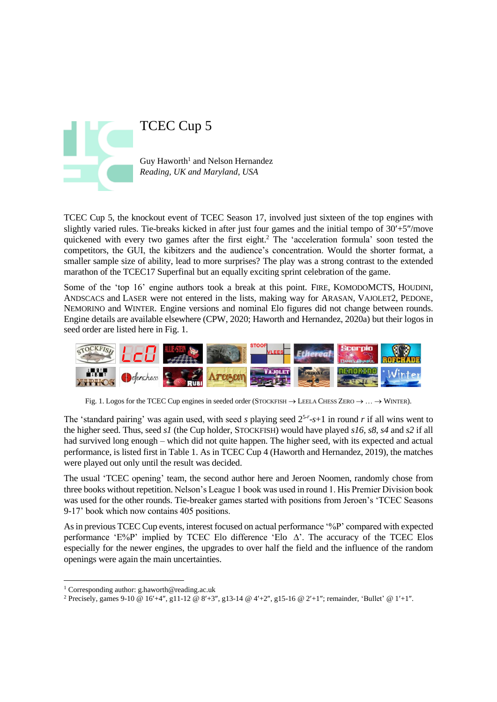

TCEC Cup 5, the knockout event of TCEC Season 17, involved just sixteen of the top engines with slightly varied rules. Tie-breaks kicked in after just four games and the initial tempo of  $30'+5''/$ move quickened with every two games after the first eight.<sup>2</sup> The 'acceleration formula' soon tested the competitors, the GUI, the kibitzers and the audience's concentration. Would the shorter format, a smaller sample size of ability, lead to more surprises? The play was a strong contrast to the extended marathon of the TCEC17 Superfinal but an equally exciting sprint celebration of the game.

Some of the 'top 16' engine authors took a break at this point. FIRE, KOMODOMCTS, HOUDINI, ANDSCACS and LASER were not entered in the lists, making way for ARASAN, VAJOLET2, PEDONE, NEMORINO and WINTER. Engine versions and nominal Elo figures did not change between rounds. Engine details are available elsewhere (CPW, 2020; Haworth and Hernandez, 2020a) but their logos in seed order are listed here in Fig. 1.



Fig. 1. Logos for the TCEC Cup engines in seeded order (STOCKFISH  $\rightarrow$  LEELA CHESS ZERO  $\rightarrow \ldots \rightarrow$  WINTER).

The 'standard pairing' was again used, with seed *s* playing seed  $2^{5-r}$ -s+1 in round *r* if all wins went to the higher seed. Thus, seed *s1* (the Cup holder, STOCKFISH) would have played *s16, s8*, *s4* and *s2* if all had survived long enough – which did not quite happen. The higher seed, with its expected and actual performance, is listed first in Table 1. As in TCEC Cup 4 (Haworth and Hernandez, 2019), the matches were played out only until the result was decided.

The usual 'TCEC opening' team, the second author here and Jeroen Noomen, randomly chose from three books without repetition. Nelson's League 1 book was used in round 1. His Premier Division book was used for the other rounds. Tie-breaker games started with positions from Jeroen's 'TCEC Seasons 9-17' book which now contains 405 positions.

As in previous TCEC Cup events, interest focused on actual performance '%P' compared with expected performance 'E%P' implied by TCEC Elo difference 'Elo  $\Delta'$ . The accuracy of the TCEC Elos especially for the newer engines, the upgrades to over half the field and the influence of the random openings were again the main uncertainties.

<sup>1</sup> Corresponding author: g.haworth@reading.ac.uk

<sup>&</sup>lt;sup>2</sup> Precisely, games 9-10 @ 16'+4", g11-12 @ 8'+3", g13-14 @ 4'+2", g15-16 @ 2'+1"; remainder, 'Bullet' @ 1'+1".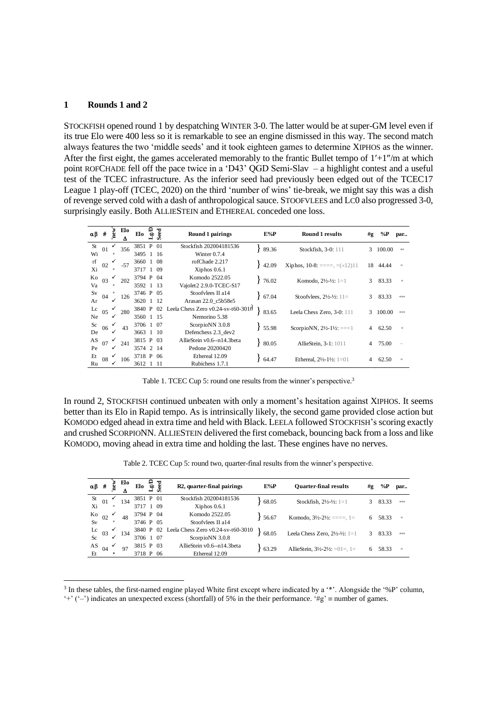## **1 Rounds 1 and 2**

STOCKFISH opened round 1 by despatching WINTER 3-0. The latter would be at super-GM level even if its true Elo were 400 less so it is remarkable to see an engine dismissed in this way. The second match always features the two 'middle seeds' and it took eighteen games to determine XIPHOS as the winner. After the first eight, the games accelerated memorably to the frantic Bullet tempo of  $1'+1''/m$  at which point ROFCHADE fell off the pace twice in a 'D43' QGD Semi-Slav – a highlight contest and a useful test of the TCEC infrastructure. As the inferior seed had previously been edged out of the TCEC17 League 1 play-off (TCEC, 2020) on the third 'number of wins' tie-break, we might say this was a dish of revenge served cold with a dash of anthropological sauce. STOOFVLEES and LC0 also progressed 3-0,

| $\alpha\beta$ | #  | new                   | Elo<br>Δ | Elo       | $LgCD$<br>Seed | Round 1 pairings                   | $E\%P$   | Round 1 results                                | #g | %Р           | par         |
|---------------|----|-----------------------|----------|-----------|----------------|------------------------------------|----------|------------------------------------------------|----|--------------|-------------|
| St            | 01 |                       | 356      | 3851 P 01 |                | Stockfish 202004181536             | 89.36    | Stockfish, 3-0: 111                            | 3  | 100.00       | $^{\rm ++}$ |
| Wi            |    | $\boldsymbol{\times}$ |          | 3495 1 16 |                | Winter $0.7.4$                     |          |                                                |    |              |             |
| rf            | 02 |                       | $-57$    | 3660 1 08 |                | rofChade 2.217                     | $+42.09$ | <b>Xiphos, 10-8:</b> ====, $=(\times 12)11$    | 18 | 44.44        | $\equiv$    |
| Xi            |    | $\pmb{\times}$        |          | 3717 1 09 |                | $Xiphos$ 0.6.1                     |          |                                                |    |              |             |
| Ko            | 03 |                       | 202      | 3794 P 04 |                | Komodo 2522.05                     | 76.02    | Komodo, $2\frac{1}{2}$ - $\frac{1}{2}$ : 1=1   | 3  | 83.33        | $+$         |
| Va            |    | $\pmb{\times}$        |          | 3592 1 13 |                | Vajolet2 2.9.0-TCEC-S17            |          |                                                |    |              |             |
| Sv            | 04 |                       | 126      | 3746 P 05 |                | Stoofvlees II al4                  | 67.04    | Stoofvlees, $2\frac{1}{2} - \frac{1}{2}$ : 11= | 3  | 83.33        | $^{\rm ++}$ |
| Ar            |    | $\checkmark$          |          | 3620 1 12 |                | Arasan 22.0 c5b58e5                |          |                                                |    |              |             |
| $_{\rm Lc}$   | 05 |                       | 280      | 3840 P 02 |                | Leela Chess Zero v0.24-sv-t60-3010 | 83.65    | Leela Chess Zero, 3-0: 111                     | 3  | $100.00$ +++ |             |
| Ne            |    |                       |          | 3560 1 15 |                | Nemorino 5.38                      |          |                                                |    |              |             |
| Sc            | 06 |                       | 43       | 3706 1 07 |                | ScorpioNN 3.0.8                    | 55.98    | ScorpioNN, $2\frac{1}{2}$ -1½: ===1            | 4  | 62.50        | $+$         |
| De            |    | ✓                     |          | 3663 1 10 |                | Defenchess 2.3 dev2                |          |                                                |    |              |             |
| AS            | 07 | $\checkmark$          | 241      | 3815 P 03 |                | AllieStein v0.6--n14.3beta         | 80.05    | AllieStein, 3-1: 1011                          | 4  | 75.00        |             |
| Pe            |    | ✓                     |          | 3574 2 14 |                | Pedone 20200420                    |          |                                                |    |              |             |
| Et            | 08 |                       | 106      | 3718 P 06 |                | Ethereal 12.09                     | 64.47    | Ethereal, $2\frac{1}{2}$ -1½: 1=01             |    | 62.50        | $\equiv$    |
| Ru            |    | ✓                     |          | 3612 1 11 |                | Rubichess 1.7.1                    |          |                                                |    |              |             |

Table 1. TCEC Cup 5: round one results from the winner's perspective.<sup>3</sup>

In round 2, STOCKFISH continued unbeaten with only a moment's hesitation against XIPHOS. It seems better than its Elo in Rapid tempo. As is intrinsically likely, the second game provided close action but KOMODO edged ahead in extra time and held with Black. LEELA followed STOCKFISH's scoring exactly and crushed SCORPIONN. ALLIESTEIN delivered the first comeback, bouncing back from a loss and like KOMODO, moving ahead in extra time and holding the last. These engines have no nerves.

Table 2. TCEC Cup 5: round two, quarter-final results from the winner's perspective.

|                 |                    |                           |     |           |      | Table 2. TCEC Cup 5: round two, quarter-final results from the winner's perspective. |        |                                                           |    |       |      |
|-----------------|--------------------|---------------------------|-----|-----------|------|--------------------------------------------------------------------------------------|--------|-----------------------------------------------------------|----|-------|------|
| $\alpha\beta$ # |                    | new                       | Eю  | Elo       | ु है | R2, quarter-final pairings                                                           | $E\%P$ | <b>Quarter-final results</b>                              | #g | % $P$ | par  |
| St              | 01                 |                           | 134 | 3851 P 01 |      | Stockfish 202004181536                                                               | 68.05  | Stockfish, $2\frac{1}{2}$ - $\frac{1}{2}$ : 1=1           | 3. | 83.33 | $++$ |
| Xi              |                    | ×                         |     | 3717 1 09 |      | $Xiphos$ 0.6.1                                                                       |        |                                                           |    |       |      |
| Ko              | 02                 |                           | 48  | 3794 P 04 |      | Komodo 2522.05                                                                       | 56.67  | Komodo, $3\frac{1}{2} - 2\frac{1}{2} = \equiv -1$ , $1 =$ | 6  | 58.33 | $=$  |
|                 |                    | ×                         |     | 3746 P 05 |      | Stoofylees II a14                                                                    |        |                                                           |    |       |      |
|                 |                    | √                         | 134 | 3840 P 02 |      | Leela Chess Zero $v0.24$ -sv-t60-3010                                                | 68.05  | Leela Chess Zero, $2\frac{1}{2}$ - $\frac{1}{2}$ : 1=1    | 3  | 83.33 | $++$ |
|                 | $\frac{Lc}{Sc}$ 03 | ✓                         |     | 3706 1 07 |      | ScorpioNN 3.0.8                                                                      |        |                                                           |    |       |      |
| AS              | 04                 | ✓                         | 97  | 3815 P 03 |      | AllieStein v0.6--n14.3beta                                                           | 63.29  |                                                           |    |       | $=$  |
| Et              |                    | $\boldsymbol{\mathsf{x}}$ |     | 3718 P 06 |      | Ethereal 12.09                                                                       |        | AllieStein, $3\frac{1}{2} - 2\frac{1}{2} = 01 = 1$ .      |    | 58.33 |      |

 $3$  In these tables, the first-named engine played White first except where indicated by a  $**$ . Alongside the '%P' column, '+' ('-') indicates an unexpected excess (shortfall) of 5% in the their performance. ' $\#g' \equiv$  number of games.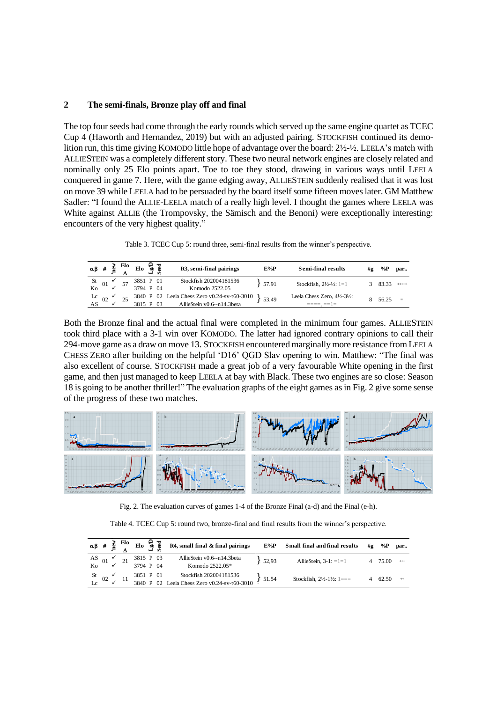## **2 The semi-finals, Bronze play off and final**

The top four seeds had come through the early rounds which served up the same engine quartet as TCEC Cup 4 (Haworth and Hernandez, 2019) but with an adjusted pairing. STOCKFISH continued its demolition run, this time giving KOMODO little hope of advantage over the board: 2½-½. LEELA's match with ALLIESTEIN was a completely different story. These two neural network engines are closely related and nominally only 25 Elo points apart. Toe to toe they stood, drawing in various ways until LEELA conquered in game 7. Here, with the game edging away, ALLIESTEIN suddenly realised that it was lost on move 39 while LEELA had to be persuaded by the board itself some fifteen moves later. GM Matthew Sadler: "I found the ALLIE-LEELA match of a really high level. I thought the games where LEELA was White against ALLIE (the Trompovsky, the Sämisch and the Benoni) were exceptionally interesting: encounters of the very highest quality."

| Table 3. TCEC Cup 5: round three, semi-final results from the winner's perspective. |  |  |
|-------------------------------------------------------------------------------------|--|--|
|-------------------------------------------------------------------------------------|--|--|

|                |                                |        |           |           |                            | Table 3. TCEC Cup 5: round three, semi-final results from the winner's perspective. |        |                                                   |               |       |           |
|----------------|--------------------------------|--------|-----------|-----------|----------------------------|-------------------------------------------------------------------------------------|--------|---------------------------------------------------|---------------|-------|-----------|
| αβ #           |                                | $n$ ew | Elo       | Elo       | ಕ್ಷ ಕ                      | R3, semi-final pairings                                                             | $E\%P$ | <b>Semi-final results</b>                         | #g            | %P    | par       |
| $St_{01}$      |                                |        |           | 3851 P 01 |                            | Stockfish 202004181536                                                              | 57.91  | Stockfish, $2\frac{1}{2}$ - $\frac{1}{2}$ : 1=1   | $\mathcal{F}$ | 83.33 | $+ + + +$ |
| K <sub>0</sub> |                                |        |           | 3794 P 04 |                            | Komodo 2522.05                                                                      |        |                                                   |               |       |           |
|                |                                |        |           | 3840 P 02 |                            | Leela Chess Zero v0.24-sv-t60-3010                                                  | 53.49  | Leela Chess Zero, $4\frac{1}{2} - 3\frac{1}{2}$ : |               | 56.25 | $=$       |
|                | $rac{\text{Lc}}{\text{AS}}$ 02 |        | 3815 P 03 |           | AllieStein v0.6--n14.3beta |                                                                                     |        |                                                   |               |       |           |

Both the Bronze final and the actual final were completed in the minimum four games. ALLIESTEIN took third place with a 3-1 win over KOMODO. The latter had ignored contrary opinions to call their 294-move game as a draw on move 13. STOCKFISH encountered marginally more resistance from LEELA CHESS ZERO after building on the helpful 'D16' QGD Slav opening to win. Matthew: "The final was also excellent of course. STOCKFISH made a great job of a very favourable White opening in the first game, and then just managed to keep LEELA at bay with Black. These two engines are so close: Season 18 is going to be another thriller!" The evaluation graphs of the eight games as in Fig. 2 give some sense of the progress of these two matches.



Fig. 2. The evaluation curves of games 1-4 of the Bronze Final (a-d) and the Final (e-h).

|                                             |  |                        |  | Table 4. TCEC Cup 5: round two, bronze-final and final results from the winner's perspective. |       |                                     |    |       |      |
|---------------------------------------------|--|------------------------|--|-----------------------------------------------------------------------------------------------|-------|-------------------------------------|----|-------|------|
|                                             |  |                        |  | $\alpha \beta$ # $\frac{2}{9}$ Elo $\frac{2}{9}$ Eq. 72 R4, small final & final pairings      | E%P   | Small final and final results       | #g | %Р    | par  |
| AS 01 $\checkmark$ 21<br>Ko $\checkmark$ 21 |  | 3815 P 03<br>3794 P 04 |  | AllieStein v0.6--n14.3beta<br>Komodo 2522.05*                                                 | 52.93 | AllieStein, $3-1$ : $=1=1$          | 4  | 75.00 | $++$ |
| St 02 $\times$ 11                           |  | 3851 P 01              |  | Stockfish 202004181536<br>3840 P 02 Leela Chess Zero v0.24-sv-t60-3010                        | 51.54 | Stockfish, $2\frac{1}{2}$ -1½: 1=== | 4  | 62.50 | $+$  |